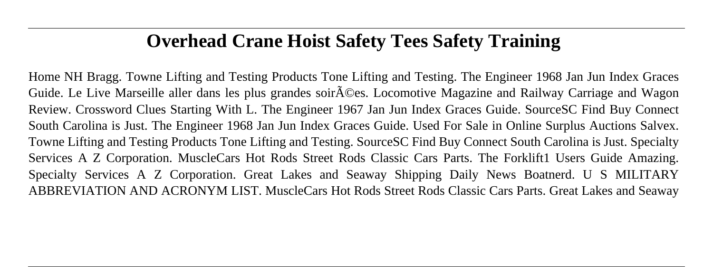# **Overhead Crane Hoist Safety Tees Safety Training**

Home NH Bragg. Towne Lifting and Testing Products Tone Lifting and Testing. The Engineer 1968 Jan Jun Index Graces Guide. Le Live Marseille aller dans les plus grandes soir $\tilde{A}$ ©es. Locomotive Magazine and Railway Carriage and Wagon Review. Crossword Clues Starting With L. The Engineer 1967 Jan Jun Index Graces Guide. SourceSC Find Buy Connect South Carolina is Just. The Engineer 1968 Jan Jun Index Graces Guide. Used For Sale in Online Surplus Auctions Salvex. Towne Lifting and Testing Products Tone Lifting and Testing. SourceSC Find Buy Connect South Carolina is Just. Specialty Services A Z Corporation. MuscleCars Hot Rods Street Rods Classic Cars Parts. The Forklift1 Users Guide Amazing. Specialty Services A Z Corporation. Great Lakes and Seaway Shipping Daily News Boatnerd. U S MILITARY ABBREVIATION AND ACRONYM LIST. MuscleCars Hot Rods Street Rods Classic Cars Parts. Great Lakes and Seaway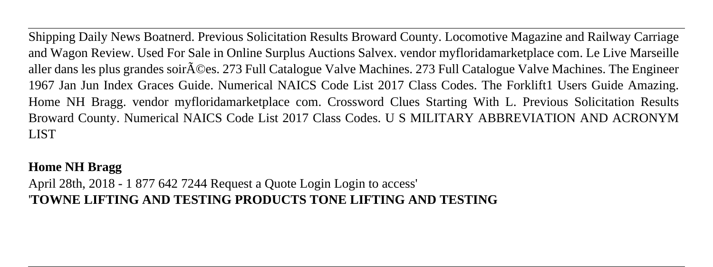Shipping Daily News Boatnerd. Previous Solicitation Results Broward County. Locomotive Magazine and Railway Carriage and Wagon Review. Used For Sale in Online Surplus Auctions Salvex. vendor myfloridamarketplace com. Le Live Marseille aller dans les plus grandes soir $\tilde{A}$ ©es. 273 Full Catalogue Valve Machines. 273 Full Catalogue Valve Machines. The Engineer 1967 Jan Jun Index Graces Guide. Numerical NAICS Code List 2017 Class Codes. The Forklift1 Users Guide Amazing. Home NH Bragg. vendor myfloridamarketplace com. Crossword Clues Starting With L. Previous Solicitation Results Broward County. Numerical NAICS Code List 2017 Class Codes. U S MILITARY ABBREVIATION AND ACRONYM LIST

#### **Home NH Bragg**

April 28th, 2018 - 1 877 642 7244 Request a Quote Login Login to access' '**TOWNE LIFTING AND TESTING PRODUCTS TONE LIFTING AND TESTING**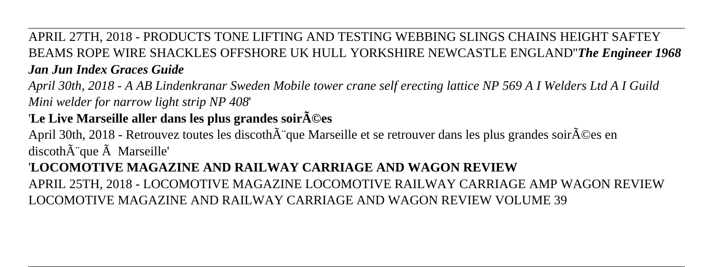APRIL 27TH, 2018 - PRODUCTS TONE LIFTING AND TESTING WEBBING SLINGS CHAINS HEIGHT SAFTEY BEAMS ROPE WIRE SHACKLES OFFSHORE UK HULL YORKSHIRE NEWCASTLE ENGLAND''*The Engineer 1968 Jan Jun Index Graces Guide*

*April 30th, 2018 - A AB Lindenkranar Sweden Mobile tower crane self erecting lattice NP 569 A I Welders Ltd A I Guild Mini welder for narrow light strip NP 408*'

## 'Le Live Marseille aller dans les plus grandes soir $\tilde{A}$ ©es

April 30th, 2018 - Retrouvez toutes les discoth $\tilde{A}$  que Marseille et se retrouver dans les plus grandes soir $\tilde{A}$ ©es en  $discoth\tilde{A}$ "que  $\tilde{A}$  Marseille'

## '**LOCOMOTIVE MAGAZINE AND RAILWAY CARRIAGE AND WAGON REVIEW**

APRIL 25TH, 2018 - LOCOMOTIVE MAGAZINE LOCOMOTIVE RAILWAY CARRIAGE AMP WAGON REVIEW LOCOMOTIVE MAGAZINE AND RAILWAY CARRIAGE AND WAGON REVIEW VOLUME 39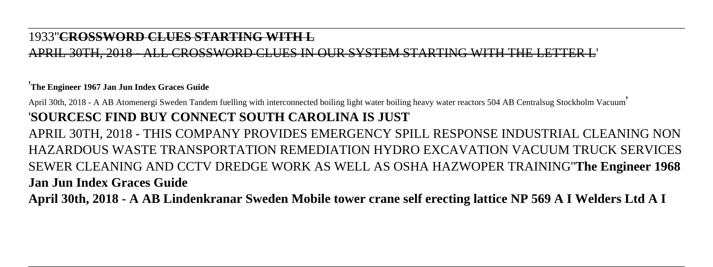#### 1933''**CROSSWORD CLUES STARTING WITH L**

#### APRIL 30TH, 2018 - ALL CROSSWORD CLUES IN OUR SYSTEM STARTING WIT

#### '**The Engineer 1967 Jan Jun Index Graces Guide**

April 30th, 2018 - A AB Atomenergi Sweden Tandem fuelling with interconnected boiling light water boiling heavy water reactors 504 AB Centralsug Stockholm Vacuum' '**SOURCESC FIND BUY CONNECT SOUTH CAROLINA IS JUST** APRIL 30TH, 2018 - THIS COMPANY PROVIDES EMERGENCY SPILL RESPONSE INDUSTRIAL CLEANING NON HAZARDOUS WASTE TRANSPORTATION REMEDIATION HYDRO EXCAVATION VACUUM TRUCK SERVICES SEWER CLEANING AND CCTV DREDGE WORK AS WELL AS OSHA HAZWOPER TRAINING''**The Engineer 1968 Jan Jun Index Graces Guide**

**April 30th, 2018 - A AB Lindenkranar Sweden Mobile tower crane self erecting lattice NP 569 A I Welders Ltd A I**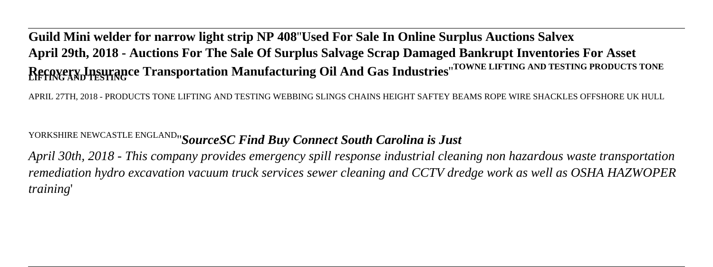## **Guild Mini welder for narrow light strip NP 408**''**Used For Sale In Online Surplus Auctions Salvex April 29th, 2018 - Auctions For The Sale Of Surplus Salvage Scrap Damaged Bankrupt Inventories For Asset Recovery Insurance Transportation Manufacturing Oil And Gas Industries**''**TOWNE LIFTING AND TESTING PRODUCTS TONE LIFTING AND TESTING**

APRIL 27TH, 2018 - PRODUCTS TONE LIFTING AND TESTING WEBBING SLINGS CHAINS HEIGHT SAFTEY BEAMS ROPE WIRE SHACKLES OFFSHORE UK HULL

## YORKSHIRE NEWCASTLE ENGLAND''*SourceSC Find Buy Connect South Carolina is Just*

*April 30th, 2018 - This company provides emergency spill response industrial cleaning non hazardous waste transportation remediation hydro excavation vacuum truck services sewer cleaning and CCTV dredge work as well as OSHA HAZWOPER training*'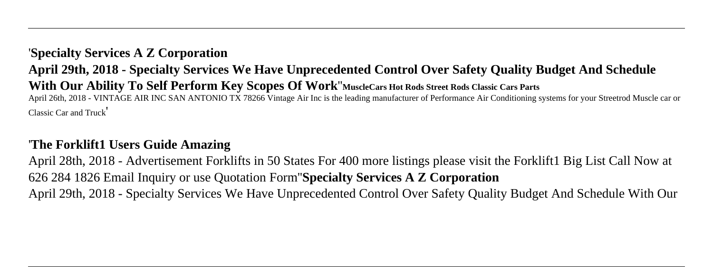'**Specialty Services A Z Corporation April 29th, 2018 - Specialty Services We Have Unprecedented Control Over Safety Quality Budget And Schedule With Our Ability To Self Perform Key Scopes Of Work**''**MuscleCars Hot Rods Street Rods Classic Cars Parts** April 26th, 2018 - VINTAGE AIR INC SAN ANTONIO TX 78266 Vintage Air Inc is the leading manufacturer of Performance Air Conditioning systems for your Streetrod Muscle car or Classic Car and Truck'

#### '**The Forklift1 Users Guide Amazing**

April 28th, 2018 - Advertisement Forklifts in 50 States For 400 more listings please visit the Forklift1 Big List Call Now at 626 284 1826 Email Inquiry or use Quotation Form''**Specialty Services A Z Corporation** April 29th, 2018 - Specialty Services We Have Unprecedented Control Over Safety Quality Budget And Schedule With Our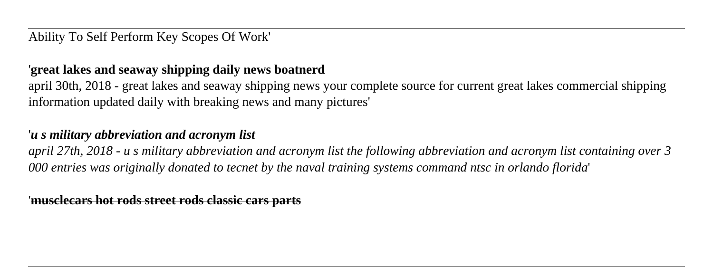Ability To Self Perform Key Scopes Of Work'

## '**great lakes and seaway shipping daily news boatnerd**

april 30th, 2018 - great lakes and seaway shipping news your complete source for current great lakes commercial shipping information updated daily with breaking news and many pictures'

### '*u s military abbreviation and acronym list*

*april 27th, 2018 - u s military abbreviation and acronym list the following abbreviation and acronym list containing over 3 000 entries was originally donated to tecnet by the naval training systems command ntsc in orlando florida*'

'**musclecars hot rods street rods classic cars parts**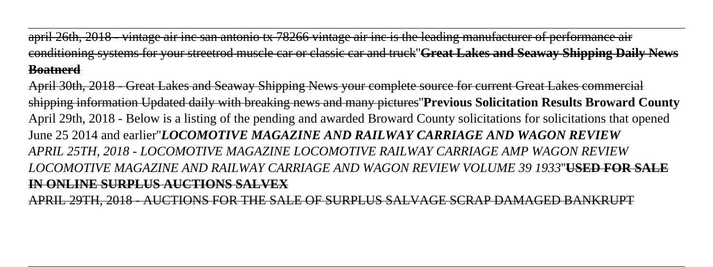april 26th, 2018 - vintage air inc san antonio tx 78266 vintage air inc is the leading manufacturer of performance air conditioning systems for your streetrod muscle car or classic car and truck''**Great Lakes and Seaway Shipping Daily News Boatnerd**

April 30th, 2018 - Great Lakes and Seaway Shipping News your complete source for current Great Lakes commercial shipping information Updated daily with breaking news and many pictures''**Previous Solicitation Results Broward County** April 29th, 2018 - Below is a listing of the pending and awarded Broward County solicitations for solicitations that opened June 25 2014 and earlier''*LOCOMOTIVE MAGAZINE AND RAILWAY CARRIAGE AND WAGON REVIEW APRIL 25TH, 2018 - LOCOMOTIVE MAGAZINE LOCOMOTIVE RAILWAY CARRIAGE AMP WAGON REVIEW LOCOMOTIVE MAGAZINE AND RAILWAY CARRIAGE AND WAGON REVIEW VOLUME 39 1933*''**USED FOR SALE IN ONLINE SURPLUS AUCTIONS SALVEX**

APRIL 29TH, 2018 - AUCTIONS FOR THE SALE OF SURPLUS SALVAGE SCRAP DAMAGED B/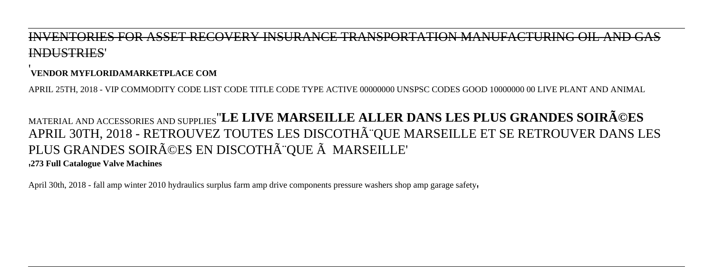#### INVENTORIES FOR ASSET RECOVERY INSURANCE TRANSPORTATION MANUFACTURING OIL AND GAS INDUSTRIES'

#### '**VENDOR MYFLORIDAMARKETPLACE COM**

APRIL 25TH, 2018 - VIP COMMODITY CODE LIST CODE TITLE CODE TYPE ACTIVE 00000000 UNSPSC CODES GOOD 10000000 00 LIVE PLANT AND ANIMAL

### MATERIAL AND ACCESSORIES AND SUPPLIES''**LE LIVE MARSEILLE ALLER DANS LES PLUS GRANDES SOIRéES** APRIL 30TH, 2018 - RETROUVEZ TOUTES LES DISCOTHÃ OUE MARSEILLE ET SE RETROUVER DANS LES PLUS GRANDES SOIRéES EN DISCOTHÃ∵OUE À MARSEILLE' '**273 Full Catalogue Valve Machines**

April 30th, 2018 - fall amp winter 2010 hydraulics surplus farm amp drive components pressure washers shop amp garage safety'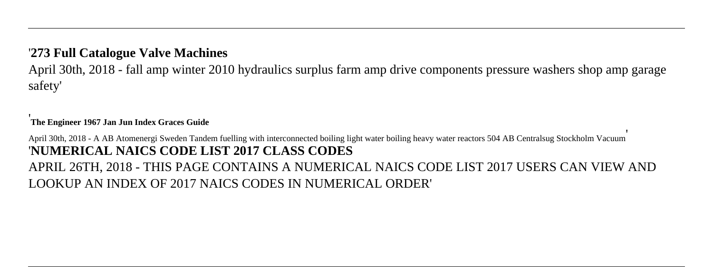#### '**273 Full Catalogue Valve Machines**

April 30th, 2018 - fall amp winter 2010 hydraulics surplus farm amp drive components pressure washers shop amp garage safety'

#### '**The Engineer 1967 Jan Jun Index Graces Guide**

April 30th, 2018 - A AB Atomenergi Sweden Tandem fuelling with interconnected boiling light water boiling heavy water reactors 504 AB Centralsug Stockholm Vacuum' '**NUMERICAL NAICS CODE LIST 2017 CLASS CODES** APRIL 26TH, 2018 - THIS PAGE CONTAINS A NUMERICAL NAICS CODE LIST 2017 USERS CAN VIEW AND LOOKUP AN INDEX OF 2017 NAICS CODES IN NUMERICAL ORDER'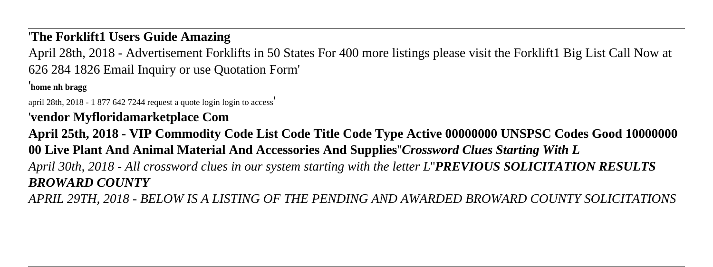'**The Forklift1 Users Guide Amazing**

April 28th, 2018 - Advertisement Forklifts in 50 States For 400 more listings please visit the Forklift1 Big List Call Now at 626 284 1826 Email Inquiry or use Quotation Form'

'**home nh bragg**

april 28th, 2018 - 1 877 642 7244 request a quote login login to access'

'**vendor Myfloridamarketplace Com**

**April 25th, 2018 - VIP Commodity Code List Code Title Code Type Active 00000000 UNSPSC Codes Good 10000000 00 Live Plant And Animal Material And Accessories And Supplies**''*Crossword Clues Starting With L April 30th, 2018 - All crossword clues in our system starting with the letter L*''*PREVIOUS SOLICITATION RESULTS BROWARD COUNTY*

*APRIL 29TH, 2018 - BELOW IS A LISTING OF THE PENDING AND AWARDED BROWARD COUNTY SOLICITATIONS*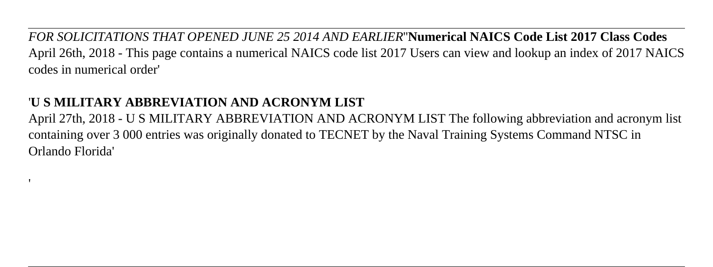*FOR SOLICITATIONS THAT OPENED JUNE 25 2014 AND EARLIER*''**Numerical NAICS Code List 2017 Class Codes** April 26th, 2018 - This page contains a numerical NAICS code list 2017 Users can view and lookup an index of 2017 NAICS codes in numerical order'

#### '**U S MILITARY ABBREVIATION AND ACRONYM LIST**

'

April 27th, 2018 - U S MILITARY ABBREVIATION AND ACRONYM LIST The following abbreviation and acronym list containing over 3 000 entries was originally donated to TECNET by the Naval Training Systems Command NTSC in Orlando Florida'